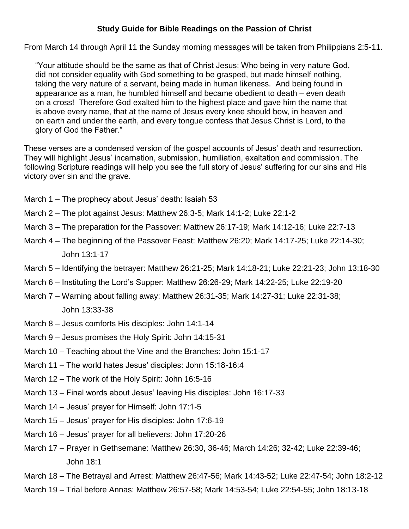## **Study Guide for Bible Readings on the Passion of Christ**

From March 14 through April 11 the Sunday morning messages will be taken from Philippians 2:5-11.

 "Your attitude should be the same as that of Christ Jesus: Who being in very nature God, did not consider equality with God something to be grasped, but made himself nothing, taking the very nature of a servant, being made in human likeness. And being found in appearance as a man, he humbled himself and became obedient to death – even death on a cross! Therefore God exalted him to the highest place and gave him the name that is above every name, that at the name of Jesus every knee should bow, in heaven and on earth and under the earth, and every tongue confess that Jesus Christ is Lord, to the glory of God the Father."

These verses are a condensed version of the gospel accounts of Jesus' death and resurrection. They will highlight Jesus' incarnation, submission, humiliation, exaltation and commission. The following Scripture readings will help you see the full story of Jesus' suffering for our sins and His victory over sin and the grave.

- March 1 The prophecy about Jesus' death: Isaiah 53
- March 2 The plot against Jesus: Matthew 26:3-5; Mark 14:1-2; Luke 22:1-2
- March 3 The preparation for the Passover: Matthew 26:17-19; Mark 14:12-16; Luke 22:7-13
- March 4 The beginning of the Passover Feast: Matthew 26:20; Mark 14:17-25; Luke 22:14-30; John 13:1-17
- March 5 Identifying the betrayer: Matthew 26:21-25; Mark 14:18-21; Luke 22:21-23; John 13:18-30
- March 6 Instituting the Lord's Supper: Matthew 26:26-29; Mark 14:22-25; Luke 22:19-20
- March 7 Warning about falling away: Matthew 26:31-35; Mark 14:27-31; Luke 22:31-38; John 13:33-38
- March 8 Jesus comforts His disciples: John 14:1-14
- March 9 Jesus promises the Holy Spirit: John 14:15-31
- March 10 Teaching about the Vine and the Branches: John 15:1-17
- March 11 The world hates Jesus' disciples: John 15:18-16:4
- March 12 The work of the Holy Spirit: John 16:5-16
- March 13 Final words about Jesus' leaving His disciples: John 16:17-33
- March 14 Jesus' prayer for Himself: John 17:1-5
- March 15 Jesus' prayer for His disciples: John 17:6-19
- March 16 Jesus' prayer for all believers: John 17:20-26
- March 17 Prayer in Gethsemane: Matthew 26:30, 36-46; March 14:26; 32-42; Luke 22:39-46; John 18:1
- March 18 The Betrayal and Arrest: Matthew 26:47-56; Mark 14:43-52; Luke 22:47-54; John 18:2-12
- March 19 Trial before Annas: Matthew 26:57-58; Mark 14:53-54; Luke 22:54-55; John 18:13-18